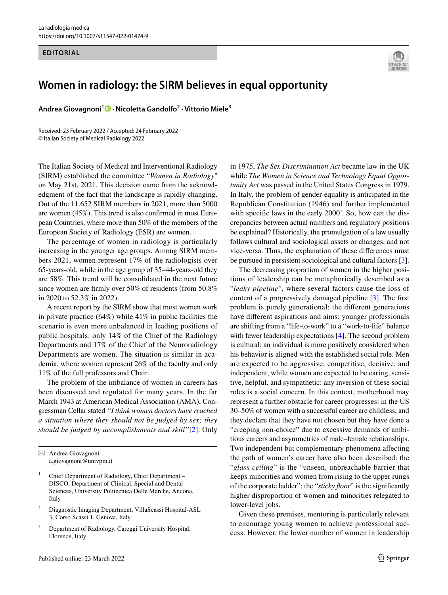## **EDITORIAL**



## **Women in radiology: the SIRM believes in equal opportunity**

**Andrea Giovagnoni<sup>1</sup> · Nicoletta Gandolfo2 · Vittorio Miele3**

Received: 23 February 2022 / Accepted: 24 February 2022 © Italian Society of Medical Radiology 2022

The Italian Society of Medical and Interventional Radiology (SIRM) established the committee "*Women in Radiology*" on May 21st, 2021. This decision came from the acknowledgment of the fact that the landscape is rapidly changing. Out of the 11.652 SIRM members in 2021, more than 5000 are women (45%). This trend is also confrmed in most European Countries, where more than 50% of the members of the European Society of Radiology (ESR) are women.

The percentage of women in radiology is particularly increasing in the younger age groups. Among SIRM members 2021, women represent 17% of the radiologists over 65-years-old, while in the age group of 35–44-years-old they are 58%. This trend will be consolidated in the next future since women are frmly over 50% of residents (from 50.8% in 2020 to 52.3% in 2022).

A recent report by the SIRM show that most women work in private practice (64%) while 41% in public facilities the scenario is even more unbalanced in leading positions of public hospitals: only 14% of the Chief of the Radiology Departments and 17% of the Chief of the Neuroradiology Departments are women. The situation is similar in academia, where women represent 26% of the faculty and only 11% of the full professors and Chair.

The problem of the imbalance of women in careers has been discussed and regulated for many years. In the far March 1943 at American Medical Association (AMA), Congressman Cellar stated *"I think women doctors have reached a situation where they should not be judged by sex; they should be judged by accomplishments and skill"*[[2](#page-1-0)]. Only

- Chief Department of Radiology, Chief Department -DISCO, Department of Clinical, Special and Dental Sciences, University Politecnica Delle Marche, Ancona, Italy
- <sup>2</sup> Diagnostic Imaging Department, VillaScassi Hospital-ASL 3, Corso Scassi 1, Genova, Italy
- Department of Radiology, Careggi University Hospital, Florence, Italy

in 1975, *The Sex Discrimination Act* became law in the UK while *The Women in Science and Technology Equal Opportunity Act* was passed in the United States Congress in 1979. In Italy, the problem of gender-equality is anticipated in the Republican Constitution (1946) and further implemented with specifc laws in the early 2000'. So, how can the discrepancies between actual numbers and regulatory positions be explained? Historically, the promulgation of a law usually follows cultural and sociological assets or changes, and not vice-versa. Thus, the explanation of these diferences must be pursued in persistent sociological and cultural factors [\[3](#page-1-1)].

The decreasing proportion of women in the higher positions of leadership can be metaphorically described as a "*leaky pipeline*", where several factors cause the loss of content of a progressively damaged pipeline [\[3\]](#page-1-1). The frst problem is purely generational: the diferent generations have diferent aspirations and aims: younger professionals are shifting from a "life-to-work" to a "work-to-life" balance with fewer leadership expectations [[4\]](#page-2-0). The second problem is cultural: an individual is more positively considered when his behavior is aligned with the established social role. Men are expected to be aggressive, competitive, decisive, and independent, while women are expected to be caring, sensitive, helpful, and sympathetic: any inversion of these social roles is a social concern. In this context, motherhood may represent a further obstacle for career progresses: in the US 30–50% of women with a successful career are childless, and they declare that they have not chosen but they have done a "creeping non-choice" due to excessive demands of ambitious careers and asymmetries of male–female relationships. Two independent but complementary phenomena afecting the path of women's career have also been described: the "*glass ceiling*" is the "unseen, unbreachable barrier that keeps minorities and women from rising to the upper rungs of the corporate ladder"; the "*sticky foor*" is the signifcantly higher disproportion of women and minorities relegated to lower-level jobs.

Given these premises, mentoring is particularly relevant to encourage young women to achieve professional success. However, the lower number of women in leadership

 $\boxtimes$  Andrea Giovagnoni a.giovagnoni@univpm.it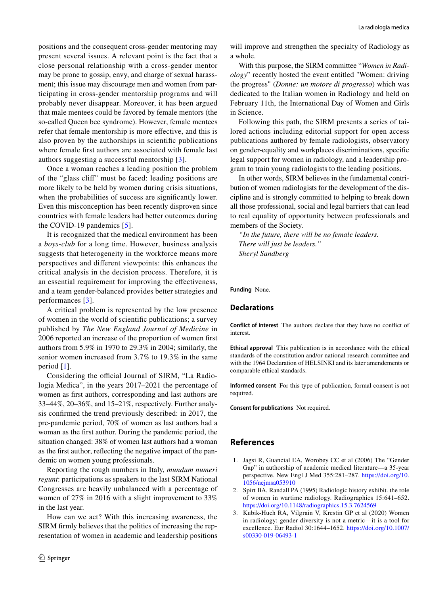positions and the consequent cross-gender mentoring may present several issues. A relevant point is the fact that a close personal relationship with a cross-gender mentor may be prone to gossip, envy, and charge of sexual harassment; this issue may discourage men and women from participating in cross-gender mentorship programs and will probably never disappear. Moreover, it has been argued that male mentees could be favored by female mentors (the so-called Queen bee syndrome). However, female mentees refer that female mentorship is more efective, and this is also proven by the authorships in scientifc publications where female frst authors are associated with female last authors suggesting a successful mentorship [[3](#page-1-1)].

Once a woman reaches a leading position the problem of the "glass clif" must be faced: leading positions are more likely to be held by women during crisis situations, when the probabilities of success are signifcantly lower. Even this misconception has been recently disproven since countries with female leaders had better outcomes during the COVID-19 pandemics [[5\]](#page-2-1).

It is recognized that the medical environment has been a *boys-club* for a long time. However, business analysis suggests that heterogeneity in the workforce means more perspectives and diferent viewpoints: this enhances the critical analysis in the decision process. Therefore, it is an essential requirement for improving the efectiveness, and a team gender-balanced provides better strategies and performances [[3](#page-1-1)].

A critical problem is represented by the low presence of women in the world of scientifc publications; a survey published by *The New England Journal of Medicine* in 2006 reported an increase of the proportion of women frst authors from 5.9% in 1970 to 29.3% in 2004; similarly, the senior women increased from 3.7% to 19.3% in the same period [[1](#page-1-2)].

Considering the official Journal of SIRM, "La Radiologia Medica", in the years 2017–2021 the percentage of women as frst authors, corresponding and last authors are 33–44%, 20–36%, and 15–21%, respectively. Further analysis confrmed the trend previously described: in 2017, the pre-pandemic period, 70% of women as last authors had a woman as the frst author. During the pandemic period, the situation changed: 38% of women last authors had a woman as the frst author, refecting the negative impact of the pandemic on women young professionals.

Reporting the rough numbers in Italy, *mundum numeri regunt*: participations as speakers to the last SIRM National Congresses are heavily unbalanced with a percentage of women of 27% in 2016 with a slight improvement to 33% in the last year.

How can we act? With this increasing awareness, the SIRM frmly believes that the politics of increasing the representation of women in academic and leadership positions will improve and strengthen the specialty of Radiology as a whole.

With this purpose, the SIRM committee "*Women in Radiology*" recently hosted the event entitled "Women: driving the progress" (*Donne: un motore di progresso*) which was dedicated to the Italian women in Radiology and held on February 11th, the International Day of Women and Girls in Science.

Following this path, the SIRM presents a series of tailored actions including editorial support for open access publications authored by female radiologists, observatory on gender-equality and workplaces discriminations, specifc legal support for women in radiology, and a leadership program to train young radiologists to the leading positions.

In other words, SIRM believes in the fundamental contribution of women radiologists for the development of the discipline and is strongly committed to helping to break down all those professional, social and legal barriers that can lead to real equality of opportunity between professionals and members of the Society.

*"In the future, there will be no female leaders. There will just be leaders." Sheryl Sandberg*

**Funding** None.

## **Declarations**

**Conflict of interest** The authors declare that they have no confict of interest.

**Ethical approval** This publication is in accordance with the ethical standards of the constitution and/or national research committee and with the 1964 Declaration of HELSINKI and its later amendements or comparable ethical standards.

**Informed consent** For this type of publication, formal consent is not required.

**Consent for publications** Not required.

## **References**

- <span id="page-1-2"></span>1. Jagsi R, Guancial EA, Worobey CC et al (2006) The "Gender Gap" in authorship of academic medical literature—a 35-year perspective. New Engl J Med 355:281–287. [https://doi.org/10.](https://doi.org/10.1056/nejmsa053910) [1056/nejmsa053910](https://doi.org/10.1056/nejmsa053910)
- <span id="page-1-0"></span>2. Spirt BA, Randall PA (1995) Radiologic history exhibit. the role of women in wartime radiology. Radiographics 15:641–652. <https://doi.org/10.1148/radiographics.15.3.7624569>
- <span id="page-1-1"></span>3. Kubik-Huch RA, Vilgrain V, Krestin GP et al (2020) Women in radiology: gender diversity is not a metric—it is a tool for excellence. Eur Radiol 30:1644–1652. [https://doi.org/10.1007/](https://doi.org/10.1007/s00330-019-06493-1) [s00330-019-06493-1](https://doi.org/10.1007/s00330-019-06493-1)